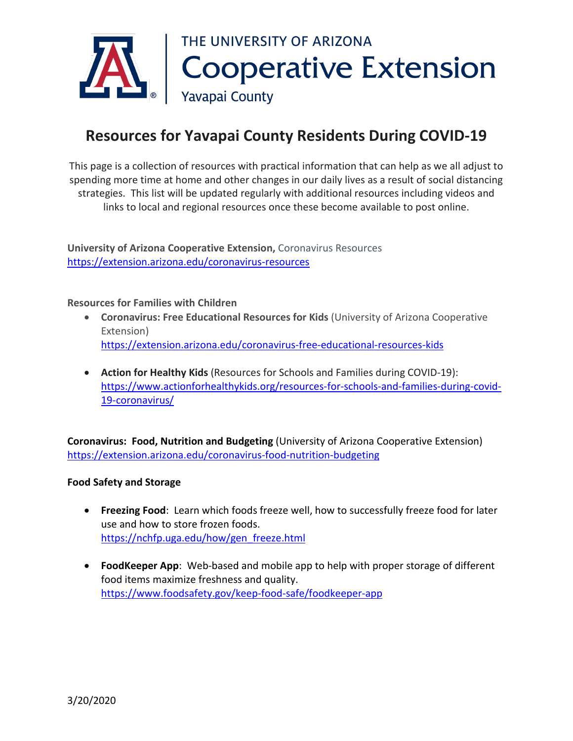

## **Resources for Yavapai County Residents During COVID-19**

This page is a collection of resources with practical information that can help as we all adjust to spending more time at home and other changes in our daily lives as a result of social distancing strategies. This list will be updated regularly with additional resources including videos and links to local and regional resources once these become available to post online.

**University of Arizona Cooperative Extension,** Coronavirus Resources <https://extension.arizona.edu/coronavirus-resources>

**Resources for Families with Children**

- **Coronavirus: Free Educational Resources for Kids** (University of Arizona Cooperative Extension) <https://extension.arizona.edu/coronavirus-free-educational-resources-kids>
- **Action for Healthy Kids** (Resources for Schools and Families during COVID-19): [https://www.actionforhealthykids.org/resources-for-schools-and-families-during-covid-](https://www.actionforhealthykids.org/resources-for-schools-and-families-during-covid-19-coronavirus/)[19-coronavirus/](https://www.actionforhealthykids.org/resources-for-schools-and-families-during-covid-19-coronavirus/)

**Coronavirus: Food, Nutrition and Budgeting** (University of Arizona Cooperative Extension) <https://extension.arizona.edu/coronavirus-food-nutrition-budgeting>

## **Food Safety and Storage**

- **Freezing Food**: Learn which foods freeze well, how to successfully freeze food for later use and how to store frozen foods. [https://nchfp.uga.edu/how/gen\\_freeze.html](https://nchfp.uga.edu/how/gen_freeze.html)
- **FoodKeeper App**: Web-based and mobile app to help with proper storage of different food items maximize freshness and quality. <https://www.foodsafety.gov/keep-food-safe/foodkeeper-app>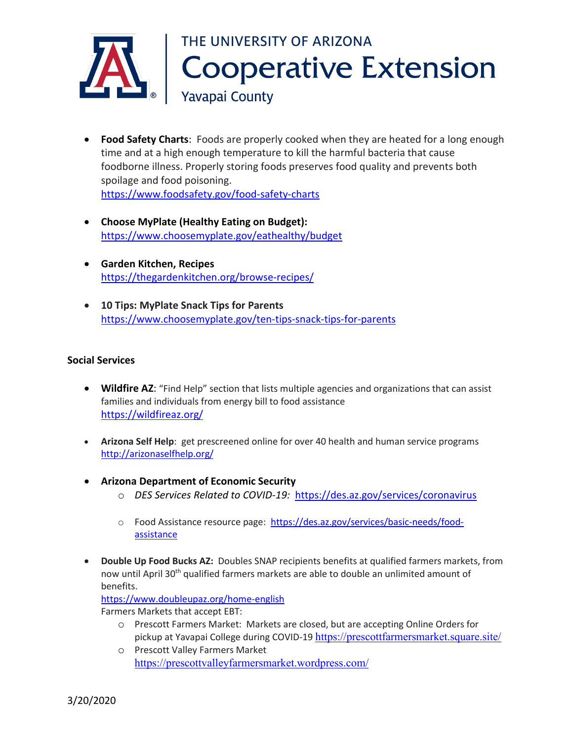

- **Food Safety Charts**: Foods are properly cooked when they are heated for a long enough time and at a high enough temperature to kill the harmful bacteria that cause foodborne illness. Properly storing foods preserves food quality and prevents both spoilage and food poisoning. <https://www.foodsafety.gov/food-safety-charts>
- **Choose MyPlate (Healthy Eating on Budget):** <https://www.choosemyplate.gov/eathealthy/budget>
- **Garden Kitchen, Recipes** <https://thegardenkitchen.org/browse-recipes/>
- **10 Tips: MyPlate Snack Tips for Parents** <https://www.choosemyplate.gov/ten-tips-snack-tips-for-parents>

## **Social Services**

- **Wildfire AZ**: "Find Help" section that lists multiple agencies and organizations that can assist families and individuals from energy bill to food assistance <https://wildfireaz.org/>
- **Arizona Self Help**: get prescreened online for over 40 health and human service programs <http://arizonaselfhelp.org/>
- **Arizona Department of Economic Security** 
	- o *DES Services Related to COVID-19:* <https://des.az.gov/services/coronavirus>
	- o Food Assistance resource page: [https://des.az.gov/services/basic-needs/food](https://des.az.gov/services/basic-needs/food-assistance)[assistance](https://des.az.gov/services/basic-needs/food-assistance)
- **Double Up Food Bucks AZ:** Doubles SNAP recipients benefits at qualified farmers markets, from now until April 30<sup>th</sup> qualified farmers markets are able to double an unlimited amount of benefits.

<https://www.doubleupaz.org/home-english>

Farmers Markets that accept EBT:

- o Prescott Farmers Market: Markets are closed, but are accepting Online Orders for pickup at Yavapai College during COVID-19 <https://prescottfarmersmarket.square.site/>
- o Prescott Valley Farmers Market <https://prescottvalleyfarmersmarket.wordpress.com/>